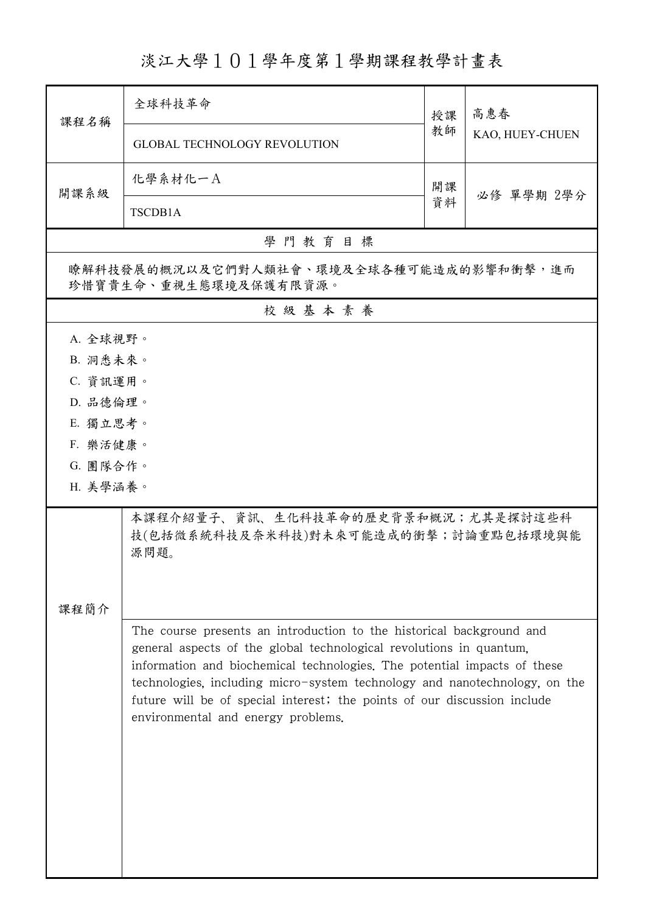淡江大學101學年度第1學期課程教學計畫表

| 課程名稱                                                                                                                                                                                                                                                                                                                                                                                                                    | 全球科技革命                                                                             | 授課 | 高惠春<br>KAO, HUEY-CHUEN |
|-------------------------------------------------------------------------------------------------------------------------------------------------------------------------------------------------------------------------------------------------------------------------------------------------------------------------------------------------------------------------------------------------------------------------|------------------------------------------------------------------------------------|----|------------------------|
|                                                                                                                                                                                                                                                                                                                                                                                                                         | <b>GLOBAL TECHNOLOGY REVOLUTION</b>                                                | 教師 |                        |
| 開課系級                                                                                                                                                                                                                                                                                                                                                                                                                    | 化學系材化一A                                                                            | 開課 | 必修 單學期 2學分             |
|                                                                                                                                                                                                                                                                                                                                                                                                                         | TSCDB1A                                                                            | 資料 |                        |
|                                                                                                                                                                                                                                                                                                                                                                                                                         | 學門教育目標                                                                             |    |                        |
| 瞭解科技發展的概況以及它們對人類社會、環境及全球各種可能造成的影響和衝擊,進而<br>珍惜寶貴生命、重視生態環境及保護有限資源。                                                                                                                                                                                                                                                                                                                                                        |                                                                                    |    |                        |
|                                                                                                                                                                                                                                                                                                                                                                                                                         | 校級基本素養                                                                             |    |                        |
| A. 全球視野。                                                                                                                                                                                                                                                                                                                                                                                                                |                                                                                    |    |                        |
| B. 洞悉未來。                                                                                                                                                                                                                                                                                                                                                                                                                |                                                                                    |    |                        |
| C. 資訊運用。                                                                                                                                                                                                                                                                                                                                                                                                                |                                                                                    |    |                        |
| D. 品德倫理。                                                                                                                                                                                                                                                                                                                                                                                                                |                                                                                    |    |                        |
| E. 獨立思考。                                                                                                                                                                                                                                                                                                                                                                                                                |                                                                                    |    |                        |
| F. 樂活健康。<br>G. 團隊合作。                                                                                                                                                                                                                                                                                                                                                                                                    |                                                                                    |    |                        |
| H. 美學涵養。                                                                                                                                                                                                                                                                                                                                                                                                                |                                                                                    |    |                        |
|                                                                                                                                                                                                                                                                                                                                                                                                                         |                                                                                    |    |                        |
|                                                                                                                                                                                                                                                                                                                                                                                                                         | 本課程介紹量子、資訊、生化科技革命的歷史背景和概況;尤其是探討這些科<br>技(包括微系統科技及奈米科技)對未來可能造成的衝擊;討論重點包括環境與能<br>源問題。 |    |                        |
|                                                                                                                                                                                                                                                                                                                                                                                                                         |                                                                                    |    |                        |
| 课程简介                                                                                                                                                                                                                                                                                                                                                                                                                    |                                                                                    |    |                        |
| The course presents an introduction to the historical background and<br>general aspects of the global technological revolutions in quantum.<br>information and biochemical technologies. The potential impacts of these<br>technologies, including micro-system technology and nanotechnology, on the<br>future will be of special interest; the points of our discussion include<br>environmental and energy problems. |                                                                                    |    |                        |
|                                                                                                                                                                                                                                                                                                                                                                                                                         |                                                                                    |    |                        |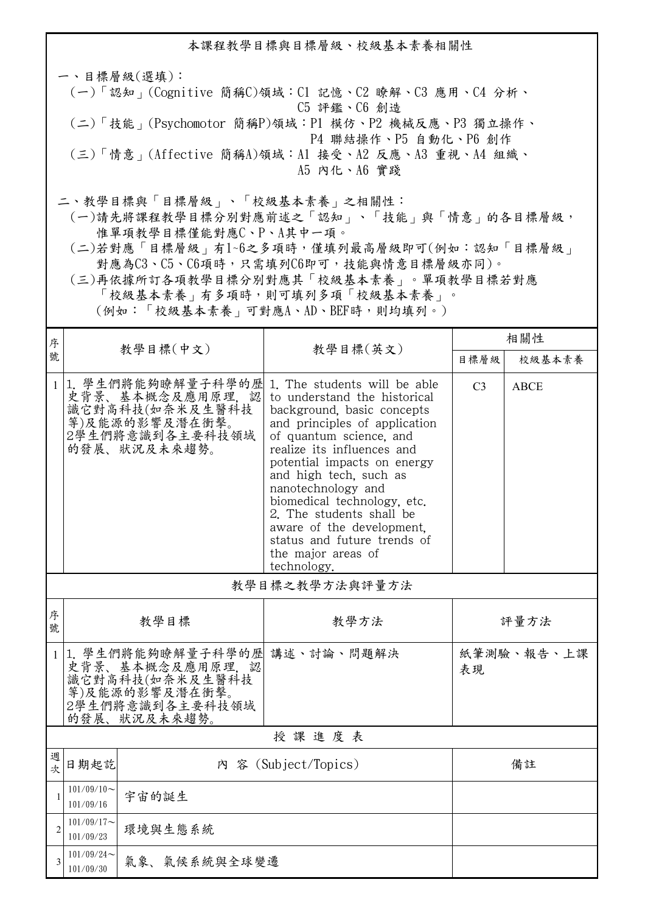本課程教學目標與目標層級、校級基本素養相關性 一、目標層級(選填): (一)「認知」(Cognitive 簡稱C)領域:C1 記憶、C2 瞭解、C3 應用、C4 分析、 C5 評鑑、C6 創造 (二)「技能」(Psychomotor 簡稱P)領域:P1 模仿、P2 機械反應、P3 獨立操作、 P4 聯結操作、P5 自動化、P6 創作 (三)「情意」(Affective 簡稱A)領域:A1 接受、A2 反應、A3 重視、A4 組織、 A5 內化、A6 實踐 二、教學目標與「目標層級」、「校級基本素養」之相關性: (一)請先將課程教學目標分別對應前述之「認知」、「技能」與「情意」的各目標層級, 惟單項教學目標僅能對應C、P、A其中一項。

- (二)若對應「目標層級」有1~6之多項時,僅填列最高層級即可(例如:認知「目標層級」 對應為C3、C5、C6項時,只需填列C6即可,技能與情意目標層級亦同)。
- (三)再依據所訂各項教學目標分別對應其「校級基本素養」。單項教學目標若對應 「校級基本素養」有多項時,則可填列多項「校級基本素養」。

(例如:「校級基本素養」可對應A、AD、BEF時,則均填列。)

| 序            | 教學目標(中文)                                                                                                       |                                                                                                              | 教學目標(英文)                                                                                                                                                                                                                                                                                                                                                                                                                        | 相關性            |             |  |
|--------------|----------------------------------------------------------------------------------------------------------------|--------------------------------------------------------------------------------------------------------------|---------------------------------------------------------------------------------------------------------------------------------------------------------------------------------------------------------------------------------------------------------------------------------------------------------------------------------------------------------------------------------------------------------------------------------|----------------|-------------|--|
| 號            |                                                                                                                |                                                                                                              |                                                                                                                                                                                                                                                                                                                                                                                                                                 | 目標層級           | 校級基本素養      |  |
| 1            |                                                                                                                | 1. 學生們將能夠瞭解量子科學的歷<br>史背景、基本概念及應用原理,認<br>識它對高科技(如奈米及生醫科技<br>等)及能源的影響及潛在衝擊。<br>2學生們將意識到各主要科技領域<br>的發展、狀況及未來趨勢。 | 1. The students will be able<br>to understand the historical<br>background, basic concepts<br>and principles of application<br>of quantum science, and<br>realize its influences and<br>potential impacts on energy<br>and high tech, such as<br>nanotechnology and<br>biomedical technology, etc.<br>2. The students shall be<br>aware of the development.<br>status and future trends of<br>the major areas of<br>technology. | C <sub>3</sub> | <b>ABCE</b> |  |
|              | 教學目標之教學方法與評量方法                                                                                                 |                                                                                                              |                                                                                                                                                                                                                                                                                                                                                                                                                                 |                |             |  |
| 序<br>號       | 教學目標                                                                                                           |                                                                                                              | 教學方法                                                                                                                                                                                                                                                                                                                                                                                                                            | 評量方法           |             |  |
|              | 1 1. 學生們將能夠瞭解量子科學的歷<br>史背景、基本概念及應用原理,認<br>識它對高科技(如奈米及生醫科技<br>等)及能源的影響及潛在衝擊。<br>2學生們將意識到各主要科技領域<br>的發展、狀況及未來趨勢。 |                                                                                                              | 講述、討論、問題解決                                                                                                                                                                                                                                                                                                                                                                                                                      | 表現             | 紙筆測驗、報告、上課  |  |
|              | 授課進度表                                                                                                          |                                                                                                              |                                                                                                                                                                                                                                                                                                                                                                                                                                 |                |             |  |
| 週<br>欤       | 日期起訖                                                                                                           |                                                                                                              | 内 容 (Subject/Topics)<br>備註                                                                                                                                                                                                                                                                                                                                                                                                      |                |             |  |
| $\mathbf{1}$ | $101/09/10$ ~<br>101/09/16                                                                                     | 宇宙的誕生                                                                                                        |                                                                                                                                                                                                                                                                                                                                                                                                                                 |                |             |  |
|              | $101/09/17$ ~<br>101/09/23                                                                                     | 環境與生態系統                                                                                                      |                                                                                                                                                                                                                                                                                                                                                                                                                                 |                |             |  |
| 3            | $101/09/24$ ~<br>101/09/30                                                                                     | 氣象、氣候系統與全球變遷                                                                                                 |                                                                                                                                                                                                                                                                                                                                                                                                                                 |                |             |  |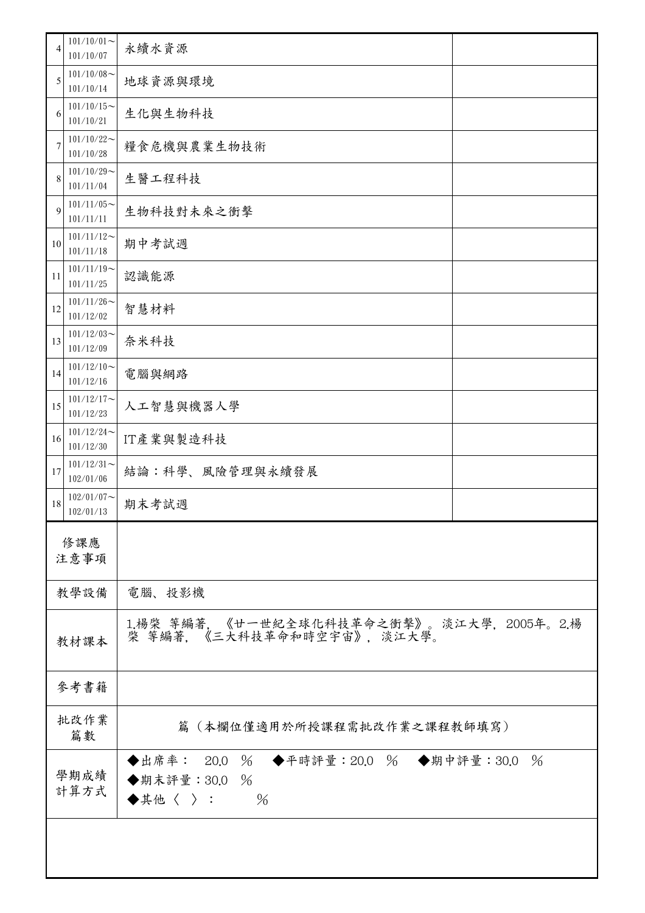| 4           | $101/10/01$ ~<br>101/10/07 | 永續水資源                                                                                               |  |
|-------------|----------------------------|-----------------------------------------------------------------------------------------------------|--|
| 5           | $101/10/08$ ~<br>101/10/14 | 地球資源與環境                                                                                             |  |
| 6           | $101/10/15$ ~<br>101/10/21 | 生化與生物科技                                                                                             |  |
| 7           | $101/10/22$ ~<br>101/10/28 | 糧食危機與農業生物技術                                                                                         |  |
| 8           | $101/10/29$ ~<br>101/11/04 | 生醫工程科技                                                                                              |  |
| 9           | $101/11/05$ ~<br>101/11/11 | 生物科技對未來之衝擊                                                                                          |  |
| 10          | $101/11/12$ ~<br>101/11/18 | 期中考試週                                                                                               |  |
| 11          | $101/11/19$ ~<br>101/11/25 | 認識能源                                                                                                |  |
| 12          | $101/11/26$ ~<br>101/12/02 | 智慧材料                                                                                                |  |
| 13          | $101/12/03$ ~<br>101/12/09 | 奈米科技                                                                                                |  |
| 14          | $101/12/10$ ~<br>101/12/16 | 電腦與網路                                                                                               |  |
| 15          | $101/12/17$ ~<br>101/12/23 | 人工智慧與機器人學                                                                                           |  |
| 16          | $101/12/24$ ~<br>101/12/30 | IT產業與製造科技                                                                                           |  |
| 17          | $101/12/31$ ~<br>102/01/06 | 結論:科學、風險管理與永續發展                                                                                     |  |
| 18          | $102/01/07$ ~<br>102/01/13 | 期末考試週                                                                                               |  |
| 修課應<br>注意事項 |                            |                                                                                                     |  |
|             | 教學設備                       | 電腦、投影機                                                                                              |  |
|             | 教材課本                       | 1楊榮 等編著, 《廿一世紀全球化科技革命之衝擊》。淡江大學, 2005年。2楊<br>棨 等編著,《三大科技革命和時空宇宙》, 淡江大學。                              |  |
|             | 參考書籍                       |                                                                                                     |  |
|             | 批改作業<br>篇數                 | 篇(本欄位僅適用於所授課程需批改作業之課程教師填寫)                                                                          |  |
|             | 學期成績<br>計算方式               | ◆出席率: 20.0 % ◆平時評量:20.0 % ◆期中評量:30.0 %<br>◆期末評量: 30.0 %<br>$\blacklozenge$ 其他〈 〉 :<br>$\frac{0}{6}$ |  |
|             |                            |                                                                                                     |  |